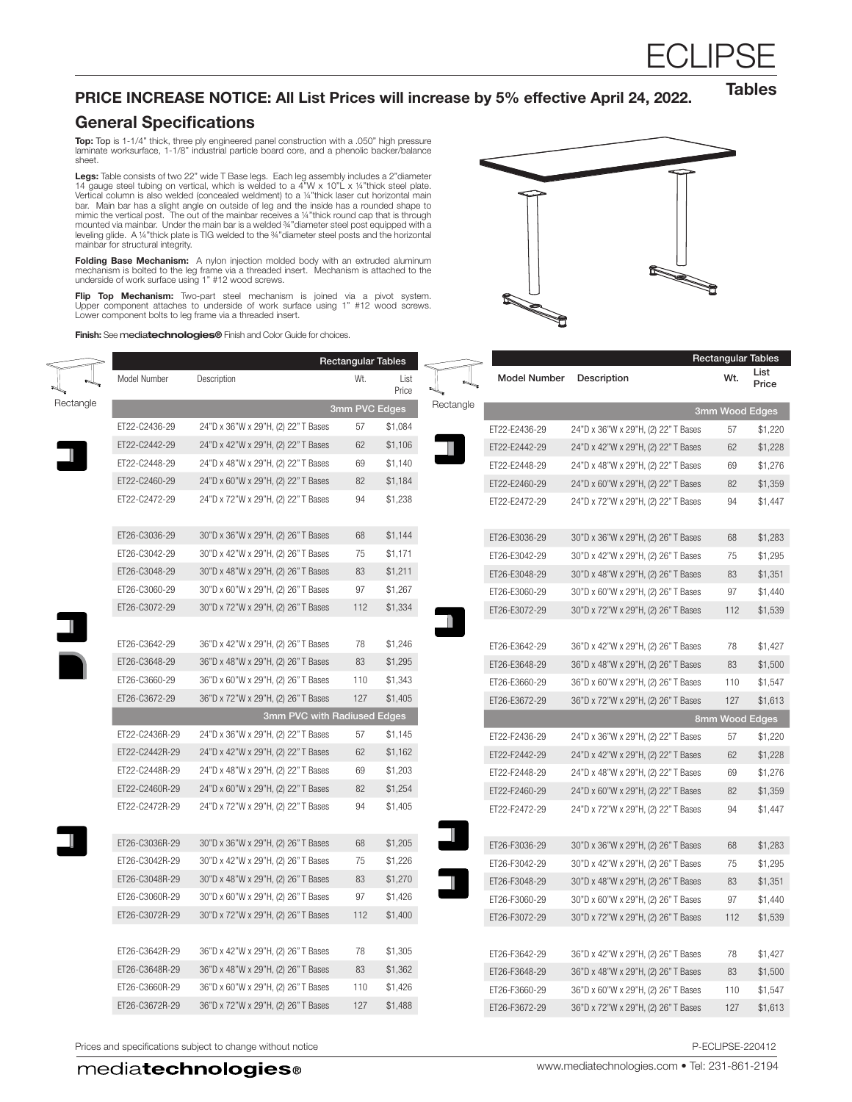# HCLIH

#### PRICE INCREASE NOTICE: All List Prices will increase by 5% effective April 24, 2022.

**Tables** 

### General Specifications

 $\leq$ 

**Top: T**op is 1-1/4" thick, three ply engineered panel construction with a .050" high pressure<br>laminate worksurface, 1-1/8" industrial particle board core, and a phenolic backer/balance sheet.

**Legs:** Table consists of two 22" wide T Base legs. Each leg assembly includes a 2"diameter<br>14 gauge steel tubing on vertical, which is welded to a 4"W x 10"L x ¼"thick steel plate.<br>Vertical column is also welded (conceal bar. Main bar has a slight angle on outside of leg and the inside has a rounded shape to<br>mimic the vertical post. The out of the mainbar receives a ¼"thick round cap that is through<br>mounted via mainbar. Under the main bar leveling glide. A ¼"thick plate is TIG welded to the ¾"diameter steel posts and the horizontal mainbar for structural integrity.

**Folding Base Mechanism:** A nylon injection molded body with an extruded aluminum<br>mechanism is bolted to the leg frame via a threaded insert. Mechanism is attached to the<br>underside of work surface using 1" #12 wood screws.

**Flip Top Mechanism:** Two-part steel mechanism is joined via a pivot system.<br>Upper component attaches to underside of work surface using 1" #12 wood screws. Lower component bolts to leg frame via a threaded insert.

Finish: See mediatechnologies® Finish and Color Guide for choices.



|           |                |                                     | <b>Rectangular Tables</b> |               |           |                     |                                     | <b>Rectangular Tables</b> |               |
|-----------|----------------|-------------------------------------|---------------------------|---------------|-----------|---------------------|-------------------------------------|---------------------------|---------------|
|           | Model Number   | Description                         | Wt.                       | List<br>Price |           | <b>Model Number</b> | Description                         | Wt.                       | List<br>Price |
| Rectangle | 3mm PVC Edges  |                                     |                           |               | Rectangle |                     |                                     | 3mm Wood Edges            |               |
|           | ET22-C2436-29  | 24"D x 36"W x 29"H, (2) 22" T Bases | 57                        | \$1,084       |           | ET22-E2436-29       | 24"D x 36"W x 29"H, (2) 22" T Bases | 57                        | \$1,220       |
|           | ET22-C2442-29  | 24"D x 42"W x 29"H, (2) 22" T Bases | 62                        | \$1,106       |           | ET22-E2442-29       | 24"D x 42"W x 29"H, (2) 22" T Bases | 62                        | \$1,228       |
|           | ET22-C2448-29  | 24"D x 48"W x 29"H, (2) 22" T Bases | 69                        | \$1,140       |           | ET22-E2448-29       | 24"D x 48"W x 29"H, (2) 22" T Bases | 69                        | \$1,276       |
|           | ET22-C2460-29  | 24"D x 60"W x 29"H, (2) 22" T Bases | 82                        | \$1,184       |           | ET22-E2460-29       | 24"D x 60"W x 29"H, (2) 22" T Bases | 82                        | \$1,359       |
|           | ET22-C2472-29  | 24"D x 72"W x 29"H, (2) 22" T Bases | 94                        | \$1,238       |           | ET22-E2472-29       | 24"D x 72"W x 29"H, (2) 22" T Bases | 94                        | \$1,447       |
|           | ET26-C3036-29  | 30"D x 36"W x 29"H, (2) 26" T Bases | 68                        | \$1,144       |           | ET26-E3036-29       | 30"D x 36"W x 29"H, (2) 26" T Bases | 68                        | \$1,283       |
|           | ET26-C3042-29  | 30"D x 42"W x 29"H, (2) 26" T Bases | 75                        | \$1,171       |           | ET26-E3042-29       | 30"D x 42"W x 29"H, (2) 26" T Bases | 75                        | \$1,295       |
|           | ET26-C3048-29  | 30"D x 48"W x 29"H, (2) 26" T Bases | 83                        | \$1,211       |           | ET26-E3048-29       | 30"D x 48"W x 29"H, (2) 26" T Bases | 83                        | \$1,351       |
|           | ET26-C3060-29  | 30"D x 60"W x 29"H, (2) 26" T Bases | 97                        | \$1,267       |           | ET26-E3060-29       | 30"D x 60"W x 29"H, (2) 26" T Bases | 97                        | \$1.440       |
|           | ET26-C3072-29  | 30"D x 72"W x 29"H, (2) 26" T Bases | 112                       | \$1,334       |           | ET26-E3072-29       | 30"D x 72"W x 29"H, (2) 26" T Bases | 112                       | \$1,539       |
|           | ET26-C3642-29  | 36"D x 42"W x 29"H, (2) 26" T Bases | 78                        | \$1,246       |           | ET26-E3642-29       | 36"D x 42"W x 29"H, (2) 26" T Bases | 78                        | \$1,427       |
|           | ET26-C3648-29  | 36"D x 48"W x 29"H, (2) 26" T Bases | 83                        | \$1,295       |           | ET26-E3648-29       | 36"D x 48"W x 29"H, (2) 26" T Bases | 83                        | \$1,500       |
|           | ET26-C3660-29  | 36"D x 60"W x 29"H, (2) 26" T Bases | 110                       | \$1,343       |           | ET26-E3660-29       | 36"D x 60"W x 29"H, (2) 26" T Bases | 110                       | \$1,547       |
|           | ET26-C3672-29  | 36"D x 72"W x 29"H, (2) 26" T Bases | 127                       | \$1,405       |           | ET26-E3672-29       | 36"D x 72"W x 29"H, (2) 26" T Bases | 127                       | \$1,613       |
|           |                | 3mm PVC with Radiused Edges         |                           |               |           |                     |                                     | 8mm Wood Edges            |               |
|           | ET22-C2436R-29 | 24"D x 36"W x 29"H, (2) 22" T Bases | 57                        | \$1,145       |           | ET22-F2436-29       | 24"D x 36"W x 29"H, (2) 22" T Bases | 57                        | \$1,220       |
|           | ET22-C2442R-29 | 24"D x 42"W x 29"H, (2) 22" T Bases | 62                        | \$1,162       |           | ET22-F2442-29       | 24"D x 42"W x 29"H, (2) 22" T Bases | 62                        | \$1,228       |
|           | ET22-C2448R-29 | 24"D x 48"W x 29"H, (2) 22" T Bases | 69                        | \$1,203       |           | ET22-F2448-29       | 24"D x 48"W x 29"H, (2) 22" T Bases | 69                        | \$1,276       |
|           | ET22-C2460R-29 | 24"D x 60"W x 29"H, (2) 22" T Bases | 82                        | \$1,254       |           | ET22-F2460-29       | 24"D x 60"W x 29"H, (2) 22" T Bases | 82                        | \$1,359       |
|           | ET22-C2472R-29 | 24"D x 72"W x 29"H, (2) 22" T Bases | 94                        | \$1,405       |           | ET22-F2472-29       | 24"D x 72"W x 29"H, (2) 22" T Bases | 94                        | \$1,447       |
|           | ET26-C3036R-29 | 30"D x 36"W x 29"H, (2) 26" T Bases | 68                        | \$1,205       |           | ET26-F3036-29       | 30"D x 36"W x 29"H, (2) 26" T Bases | 68                        | \$1,283       |
|           | ET26-C3042R-29 | 30"D x 42"W x 29"H, (2) 26" T Bases | 75                        | \$1,226       |           | ET26-F3042-29       | 30"D x 42"W x 29"H, (2) 26" T Bases | 75                        | \$1,295       |
|           | ET26-C3048R-29 | 30"D x 48"W x 29"H, (2) 26" T Bases | 83                        | \$1,270       |           | ET26-F3048-29       | 30"D x 48"W x 29"H, (2) 26" T Bases | 83                        | \$1,351       |
|           | ET26-C3060R-29 | 30"D x 60"W x 29"H, (2) 26" T Bases | 97                        | \$1,426       |           | ET26-F3060-29       | 30"D x 60"W x 29"H, (2) 26" T Bases | 97                        | \$1,440       |
|           | ET26-C3072R-29 | 30"D x 72"W x 29"H, (2) 26" T Bases | 112                       | \$1,400       |           | ET26-F3072-29       | 30"D x 72"W x 29"H, (2) 26" T Bases | 112                       | \$1,539       |
|           | ET26-C3642R-29 | 36"D x 42"W x 29"H, (2) 26" T Bases | 78                        | \$1,305       |           | ET26-F3642-29       | 36"D x 42"W x 29"H, (2) 26" T Bases | 78                        | \$1,427       |
|           | ET26-C3648R-29 | 36"D x 48"W x 29"H, (2) 26" T Bases | 83                        | \$1,362       |           | ET26-F3648-29       | 36"D x 48"W x 29"H, (2) 26" T Bases | 83                        | \$1,500       |
|           | ET26-C3660R-29 | 36"D x 60"W x 29"H, (2) 26" T Bases | 110                       | \$1,426       |           | ET26-F3660-29       | 36"D x 60"W x 29"H, (2) 26" T Bases | 110                       | \$1,547       |
|           | ET26-C3672R-29 | 36"D x 72"W x 29"H, (2) 26" T Bases | 127                       | \$1,488       |           | ET26-F3672-29       | 36"D x 72"W x 29"H, (2) 26" T Bases | 127                       | \$1,613       |
|           |                |                                     |                           |               |           |                     |                                     |                           |               |

Prices and specifications subject to change without notice **P-ECLIPSE-220412** P-ECLIPSE-220412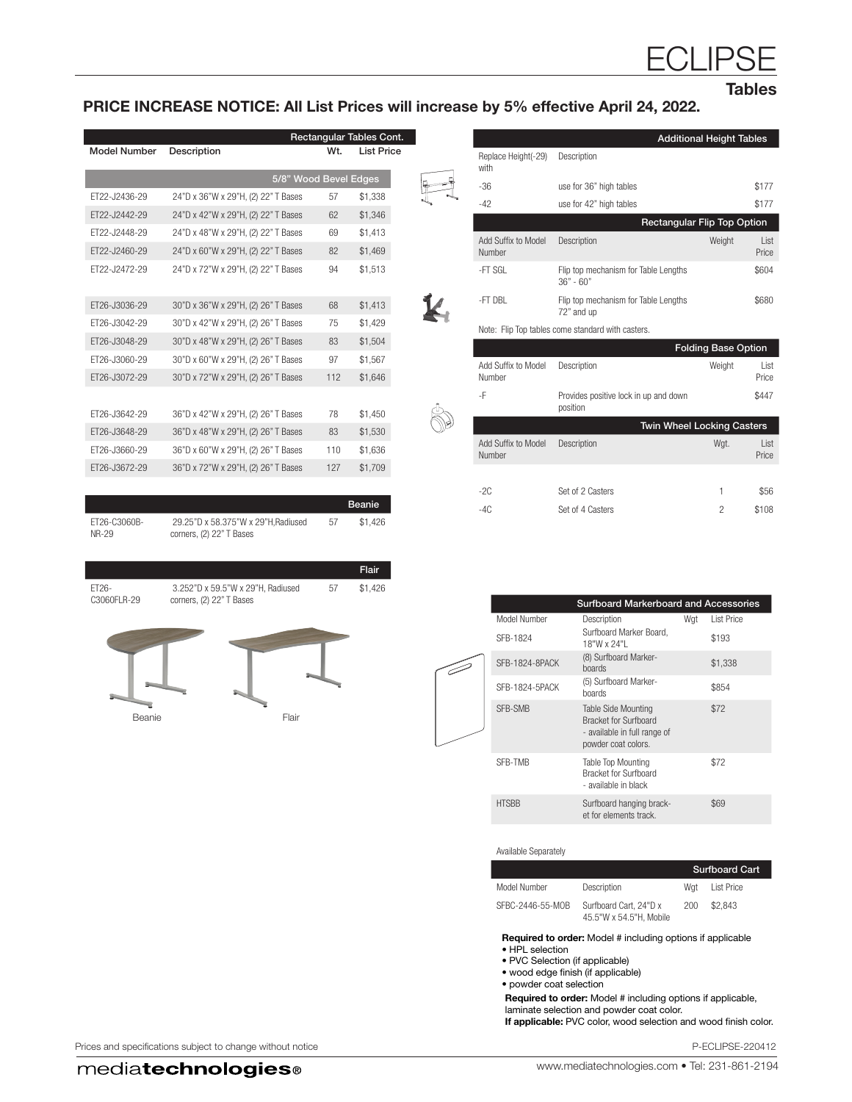Tables

#### PRICE INCREASE NOTICE: All List Prices will increase by 5% effective April 24, 2022.

|                     |                                     | Rectangular Tables Cont. |                   |
|---------------------|-------------------------------------|--------------------------|-------------------|
| <b>Model Number</b> | Description                         | Wt.                      | <b>List Price</b> |
|                     |                                     | 5/8" Wood Bevel Edges    |                   |
| FT22-J2436-29       | 24"D x 36"W x 29"H, (2) 22" T Bases | 57                       | \$1,338           |
| FT22-J2442-29       | 24"D x 42"W x 29"H, (2) 22" T Bases | 62                       | \$1,346           |
| FT22-J2448-29       | 24"D x 48"W x 29"H, (2) 22" T Bases | 69                       | \$1,413           |
| FT22-J2460-29       | 24"D x 60"W x 29"H, (2) 22" T Bases | 82                       | \$1,469           |
| FT22-J2472-29       | 24"D x 72"W x 29"H, (2) 22" T Bases | 94                       | \$1.513           |
| ET26-J3036-29       | 30"D x 36"W x 29"H, (2) 26" T Bases | 68                       | \$1,413           |
| FT26-J3042-29       | 30"D x 42"W x 29"H, (2) 26" T Bases | 75                       | \$1,429           |
| FT26-J3048-29       | 30"D x 48"W x 29"H, (2) 26" T Bases | 83                       | \$1,504           |
| FT26-J3060-29       | 30"D x 60"W x 29"H, (2) 26" T Bases | 97                       | \$1,567           |
| FT26-J3072-29       | 30"D x 72"W x 29"H, (2) 26" T Bases | 112                      | \$1,646           |
|                     |                                     |                          |                   |
| FT26-J3642-29       | 36"D x 42"W x 29"H, (2) 26" T Bases | 78                       | \$1,450           |
| FT26-J3648-29       | 36"D x 48"W x 29"H, (2) 26" T Bases | 83                       | \$1,530           |
| FT26-J3660-29       | 36"D x 60"W x 29"H, (2) 26" T Bases | 110                      | \$1,636           |
| FT26-J3672-29       | 36"D x 72"W x 29"H, (2) 26" T Bases | 127                      | \$1.709           |
|                     |                                     |                          |                   |

|                       |                                                                |    | <b>Beanie</b> |
|-----------------------|----------------------------------------------------------------|----|---------------|
| FT26-C3060B-<br>NR-29 | 29.25"D x 58.375"W x 29"H.Radiused<br>corners, (2) 22" T Bases | 57 | \$1.426       |

|                      |                                                               |    | Flair   |
|----------------------|---------------------------------------------------------------|----|---------|
| ET26-<br>C3060FLR-29 | 3.252"D x 59.5"W x 29"H, Radiused<br>corners, (2) 22" T Bases | 57 | \$1,426 |
|                      |                                                               |    |         |
| Beanie               | Flair                                                         |    |         |
|                      |                                                               |    |         |

|                               |                                                     | <b>Additional Height Tables</b> |                |
|-------------------------------|-----------------------------------------------------|---------------------------------|----------------|
| Replace Height(-29)<br>with   | Description                                         |                                 |                |
| $-36$                         | use for 36" high tables                             |                                 | \$177          |
| $-42$                         | use for 42" high tables                             |                                 | \$177          |
|                               | <b>Rectangular Flip Top Option</b>                  |                                 |                |
| Add Suffix to Model<br>Number | Description                                         | Weight                          | I ist<br>Price |
| -FT SGL                       | Flip top mechanism for Table Lengths<br>$36" - 60"$ |                                 | \$604          |
| -FT DBI                       | Flip top mechanism for Table Lengths<br>72" and up  |                                 | \$680          |
|                               | Note: Flip Top tables come standard with casters.   |                                 |                |
|                               |                                                     | <b>Folding Base Option</b>      |                |
| Add Suffix to Model<br>Number | Description                                         | Weight                          | List<br>Price  |
| -F                            | Provides positive lock in up and down<br>position   |                                 | \$447          |
|                               | Twin Wheel Locking Casters                          |                                 |                |
| Add Suffix to Model<br>Number | Description                                         | Wgt.                            | I ist<br>Price |
|                               |                                                     |                                 |                |
| $-2C$                         | Set of 2 Casters                                    | 1                               | \$56           |
| $-4C$                         | Set of 4 Casters                                    | 2                               | \$108          |

|                | <b>Surfboard Markerboard and Accessories</b>                                                               |     |                   |
|----------------|------------------------------------------------------------------------------------------------------------|-----|-------------------|
| Model Number   | Description                                                                                                | Wat | <b>List Price</b> |
| SFB-1824       | Surfboard Marker Board,<br>18"W x 24"I                                                                     |     | \$193             |
| SFB-1824-8PACK | (8) Surfboard Marker-<br>boards                                                                            |     | \$1,338           |
| SFB-1824-5PACK | (5) Surfboard Marker-<br>boards                                                                            |     | \$854             |
| SFB-SMB        | Table Side Mounting<br><b>Bracket for Surfboard</b><br>- available in full range of<br>powder coat colors. |     | \$72              |
| SFB-TMB        | <b>Table Top Mounting</b><br><b>Bracket for Surfboard</b><br>- available in black                          |     | \$72              |
| <b>HTSBB</b>   | Surfboard hanging brack-<br>et for elements track.                                                         |     | \$69              |

Available Separately

E

|                  |                                                   |     | <b>Surfboard Cart</b> |  |  |
|------------------|---------------------------------------------------|-----|-----------------------|--|--|
| Model Number     | Description                                       | Wat | <b>List Price</b>     |  |  |
| SFBC-2446-55-MOB | Surfboard Cart. 24"D x<br>45.5"W x 54.5"H, Mobile | 200 | \$2,843               |  |  |

Required to order: Model # including options if applicable

- HPL selection
- PVC Selection (if applicable) • wood edge finish (if applicable)
- powder coat selection

Required to order: Model # including options if applicable, laminate selection and powder coat color.

If applicable: PVC color, wood selection and wood finish color.

Prices and specifications subject to change without notice **P-ECLIPSE-220412** P-ECLIPSE-220412